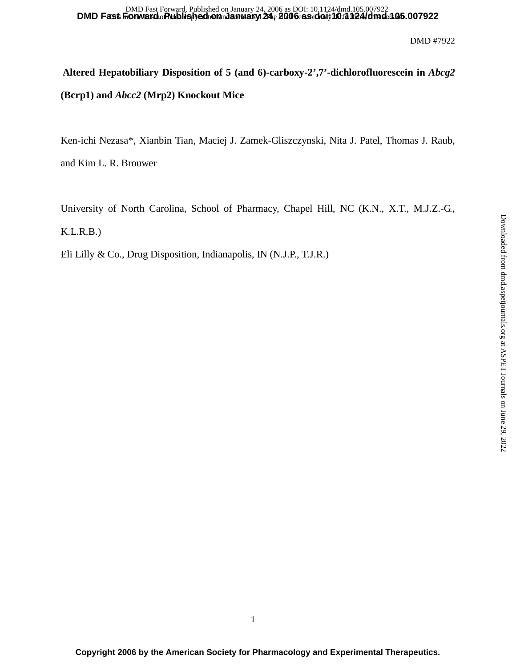# **Altered Hepatobiliary Disposition of 5 (and 6)-carboxy-2',7'-dichlorofluorescein in** *Abcg2*  **(Bcrp1) and** *Abcc2* **(Mrp2) Knockout Mice**

Ken-ichi Nezasa\*, Xianbin Tian, Maciej J. Zamek-Gliszczynski, Nita J. Patel, Thomas J. Raub,

and Kim L. R. Brouwer

University of North Carolina, School of Pharmacy, Chapel Hill, NC (K.N., X.T., M.J.Z.-G.,

K.L.R.B.)

Eli Lilly & Co., Drug Disposition, Indianapolis, IN (N.J.P., T.J.R.)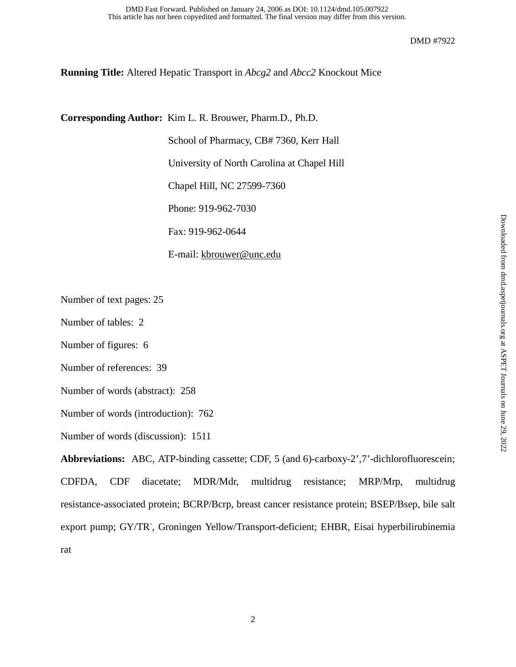**Running Title:** Altered Hepatic Transport in *Abcg2* and *Abcc2* Knockout Mice

**Corresponding Author:** Kim L. R. Brouwer, Pharm.D., Ph.D.

School of Pharmacy, CB# 7360, Kerr Hall University of North Carolina at Chapel Hill Chapel Hill, NC 27599-7360 Phone: 919-962-7030 Fax: 919-962-0644

E-mail: kbrouwer@unc.edu

Number of text pages: 25

Number of tables: 2

Number of figures: 6

Number of references: 39

Number of words (abstract): 258

Number of words (introduction): 762

Number of words (discussion): 1511

**Abbreviations:** ABC, ATP-binding cassette; CDF, 5 (and 6)-carboxy-2',7'-dichlorofluorescein; CDFDA, CDF diacetate; MDR/Mdr, multidrug resistance; MRP/Mrp, multidrug resistance-associated protein; BCRP/Bcrp, breast cancer resistance protein; BSEP/Bsep, bile salt export pump; GY/TR<sup>-</sup>, Groningen Yellow/Transport-deficient; EHBR, Eisai hyperbilirubinemia rat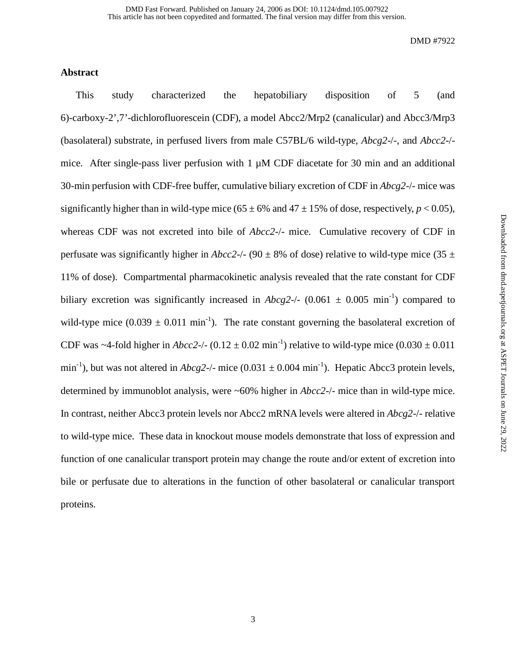# **Abstract**

This study characterized the hepatobiliary disposition of 5 (and 6)-carboxy-2',7'-dichlorofluorescein (CDF), a model Abcc2/Mrp2 (canalicular) and Abcc3/Mrp3 (basolateral) substrate, in perfused livers from male C57BL/6 wild-type, *Abcg2*-/-, and *Abcc2*-/ mice. After single-pass liver perfusion with  $1 \mu M$  CDF diacetate for 30 min and an additional 30-min perfusion with CDF-free buffer, cumulative biliary excretion of CDF in *Abcg2*-/- mice was significantly higher than in wild-type mice ( $65 \pm 6\%$  and  $47 \pm 15\%$  of dose, respectively,  $p < 0.05$ ), whereas CDF was not excreted into bile of *Abcc2*-/- mice. Cumulative recovery of CDF in perfusate was significantly higher in *Abcc2*-/- (90  $\pm$  8% of dose) relative to wild-type mice (35  $\pm$ 11% of dose). Compartmental pharmacokinetic analysis revealed that the rate constant for CDF biliary excretion was significantly increased in  $Abcg2$ -/- (0.061  $\pm$  0.005 min<sup>-1</sup>) compared to wild-type mice  $(0.039 \pm 0.011 \text{ min}^{-1})$ . The rate constant governing the basolateral excretion of CDF was ~4-fold higher in *Abcc2-/-* (0.12  $\pm$  0.02 min<sup>-1</sup>) relative to wild-type mice (0.030  $\pm$  0.011 min<sup>-1</sup>), but was not altered in  $Abcg2$ -/- mice  $(0.031 \pm 0.004 \text{ min}^{-1})$ . Hepatic Abcc3 protein levels, determined by immunoblot analysis, were ~60% higher in *Abcc2*-/- mice than in wild-type mice. In contrast, neither Abcc3 protein levels nor Abcc2 mRNA levels were altered in *Abcg2*-/- relative to wild-type mice. These data in knockout mouse models demonstrate that loss of expression and function of one canalicular transport protein may change the route and/or extent of excretion into bile or perfusate due to alterations in the function of other basolateral or canalicular transport proteins.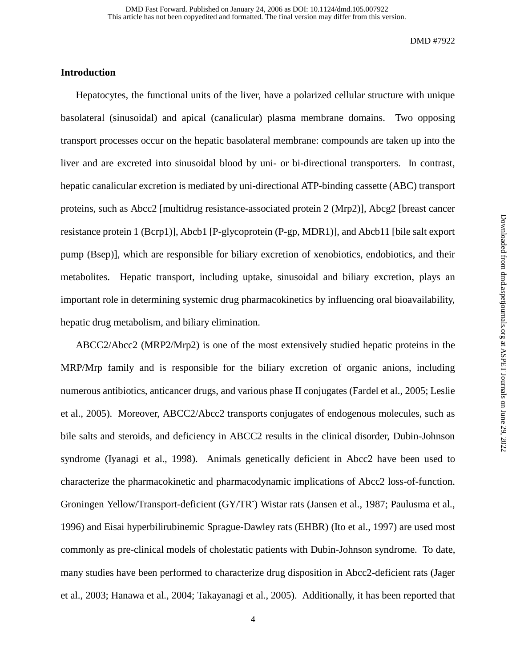# **Introduction**

Hepatocytes, the functional units of the liver, have a polarized cellular structure with unique basolateral (sinusoidal) and apical (canalicular) plasma membrane domains. Two opposing transport processes occur on the hepatic basolateral membrane: compounds are taken up into the liver and are excreted into sinusoidal blood by uni- or bi-directional transporters. In contrast, hepatic canalicular excretion is mediated by uni-directional ATP-binding cassette (ABC) transport proteins, such as Abcc2 [multidrug resistance-associated protein 2 (Mrp2)], Abcg2 [breast cancer resistance protein 1 (Bcrp1)], Abcb1 [P-glycoprotein (P-gp, MDR1)], and Abcb11 [bile salt export pump (Bsep)], which are responsible for biliary excretion of xenobiotics, endobiotics, and their metabolites. Hepatic transport, including uptake, sinusoidal and biliary excretion, plays an important role in determining systemic drug pharmacokinetics by influencing oral bioavailability, hepatic drug metabolism, and biliary elimination.

ABCC2/Abcc2 (MRP2/Mrp2) is one of the most extensively studied hepatic proteins in the MRP/Mrp family and is responsible for the biliary excretion of organic anions, including numerous antibiotics, anticancer drugs, and various phase II conjugates (Fardel et al., 2005; Leslie et al., 2005). Moreover, ABCC2/Abcc2 transports conjugates of endogenous molecules, such as bile salts and steroids, and deficiency in ABCC2 results in the clinical disorder, Dubin-Johnson syndrome (Iyanagi et al., 1998). Animals genetically deficient in Abcc2 have been used to characterize the pharmacokinetic and pharmacodynamic implications of Abcc2 loss-of-function. Groningen Yellow/Transport-deficient (GY/TR<sup>-</sup>) Wistar rats (Jansen et al., 1987; Paulusma et al., 1996) and Eisai hyperbilirubinemic Sprague-Dawley rats (EHBR) (Ito et al., 1997) are used most commonly as pre-clinical models of cholestatic patients with Dubin-Johnson syndrome. To date, many studies have been performed to characterize drug disposition in Abcc2-deficient rats (Jager et al., 2003; Hanawa et al., 2004; Takayanagi et al., 2005). Additionally, it has been reported that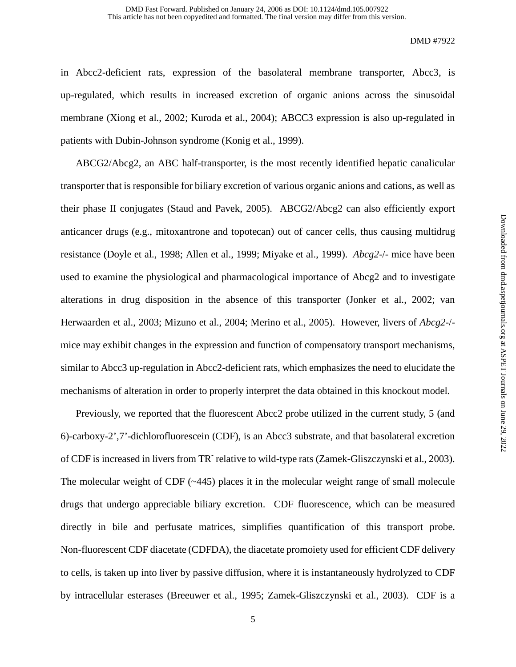in Abcc2-deficient rats, expression of the basolateral membrane transporter, Abcc3, is up-regulated, which results in increased excretion of organic anions across the sinusoidal membrane (Xiong et al., 2002; Kuroda et al., 2004); ABCC3 expression is also up-regulated in patients with Dubin-Johnson syndrome (Konig et al., 1999).

ABCG2/Abcg2, an ABC half-transporter, is the most recently identified hepatic canalicular transporter that is responsible for biliary excretion of various organic anions and cations, as well as their phase II conjugates (Staud and Pavek, 2005). ABCG2/Abcg2 can also efficiently export anticancer drugs (e.g., mitoxantrone and topotecan) out of cancer cells, thus causing multidrug resistance (Doyle et al., 1998; Allen et al., 1999; Miyake et al., 1999). *Abcg2*-/- mice have been used to examine the physiological and pharmacological importance of Abcg2 and to investigate alterations in drug disposition in the absence of this transporter (Jonker et al., 2002; van Herwaarden et al., 2003; Mizuno et al., 2004; Merino et al., 2005). However, livers of *Abcg2*-/ mice may exhibit changes in the expression and function of compensatory transport mechanisms, similar to Abcc3 up-regulation in Abcc2-deficient rats, which emphasizes the need to elucidate the mechanisms of alteration in order to properly interpret the data obtained in this knockout model.

Previously, we reported that the fluorescent Abcc2 probe utilized in the current study, 5 (and 6)-carboxy-2',7'-dichlorofluorescein (CDF), is an Abcc3 substrate, and that basolateral excretion of CDF is increased in livers from TR<sup>-</sup> relative to wild-type rats (Zamek-Gliszczynski et al., 2003). The molecular weight of CDF (~445) places it in the molecular weight range of small molecule drugs that undergo appreciable biliary excretion. CDF fluorescence, which can be measured directly in bile and perfusate matrices, simplifies quantification of this transport probe. Non-fluorescent CDF diacetate (CDFDA), the diacetate promoiety used for efficient CDF delivery to cells, is taken up into liver by passive diffusion, where it is instantaneously hydrolyzed to CDF by intracellular esterases (Breeuwer et al., 1995; Zamek-Gliszczynski et al., 2003). CDF is a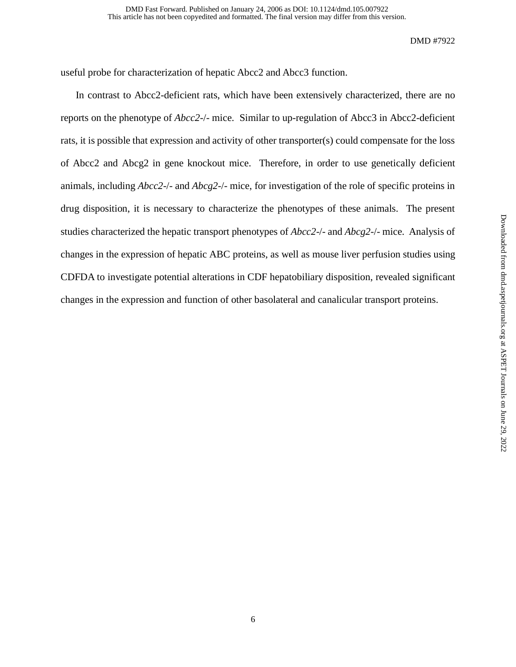useful probe for characterization of hepatic Abcc2 and Abcc3 function.

In contrast to Abcc2-deficient rats, which have been extensively characterized, there are no reports on the phenotype of *Abcc2*-/- mice. Similar to up-regulation of Abcc3 in Abcc2-deficient rats, it is possible that expression and activity of other transporter(s) could compensate for the loss of Abcc2 and Abcg2 in gene knockout mice. Therefore, in order to use genetically deficient animals, including *Abcc2*-/- and *Abcg2*-/- mice, for investigation of the role of specific proteins in drug disposition, it is necessary to characterize the phenotypes of these animals. The present studies characterized the hepatic transport phenotypes of *Abcc2*-/- and *Abcg2*-/- mice. Analysis of changes in the expression of hepatic ABC proteins, as well as mouse liver perfusion studies using CDFDA to investigate potential alterations in CDF hepatobiliary disposition, revealed significant changes in the expression and function of other basolateral and canalicular transport proteins.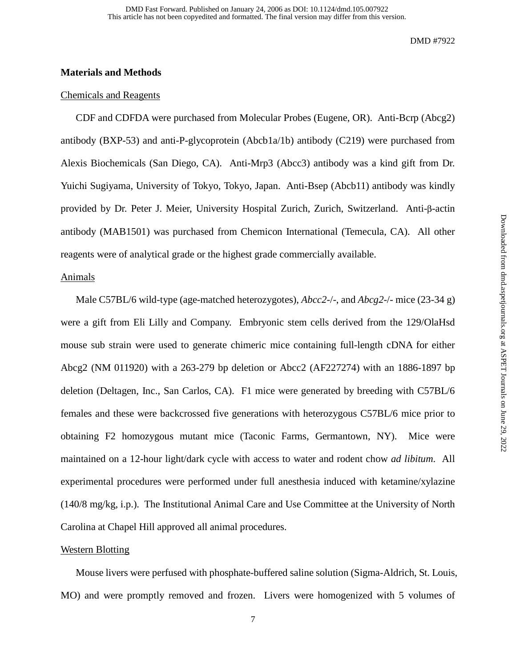# **Materials and Methods**

#### Chemicals and Reagents

CDF and CDFDA were purchased from Molecular Probes (Eugene, OR). Anti-Bcrp (Abcg2) antibody (BXP-53) and anti-P-glycoprotein (Abcb1a/1b) antibody (C219) were purchased from Alexis Biochemicals (San Diego, CA). Anti-Mrp3 (Abcc3) antibody was a kind gift from Dr. Yuichi Sugiyama, University of Tokyo, Tokyo, Japan. Anti-Bsep (Abcb11) antibody was kindly provided by Dr. Peter J. Meier, University Hospital Zurich, Zurich, Switzerland. Anti-β-actin antibody (MAB1501) was purchased from Chemicon International (Temecula, CA). All other reagents were of analytical grade or the highest grade commercially available.

# Animals

Male C57BL/6 wild-type (age-matched heterozygotes), *Abcc2*-/-, and *Abcg2*-/- mice (23-34 g) were a gift from Eli Lilly and Company. Embryonic stem cells derived from the 129/OlaHsd mouse sub strain were used to generate chimeric mice containing full-length cDNA for either Abcg2 (NM 011920) with a 263-279 bp deletion or Abcc2 (AF227274) with an 1886-1897 bp deletion (Deltagen, Inc., San Carlos, CA). F1 mice were generated by breeding with C57BL/6 females and these were backcrossed five generations with heterozygous C57BL/6 mice prior to obtaining F2 homozygous mutant mice (Taconic Farms, Germantown, NY). Mice were maintained on a 12-hour light/dark cycle with access to water and rodent chow *ad libitum*. All experimental procedures were performed under full anesthesia induced with ketamine/xylazine (140/8 mg/kg, i.p.). The Institutional Animal Care and Use Committee at the University of North Carolina at Chapel Hill approved all animal procedures.

#### Western Blotting

Mouse livers were perfused with phosphate-buffered saline solution (Sigma-Aldrich, St. Louis, MO) and were promptly removed and frozen. Livers were homogenized with 5 volumes of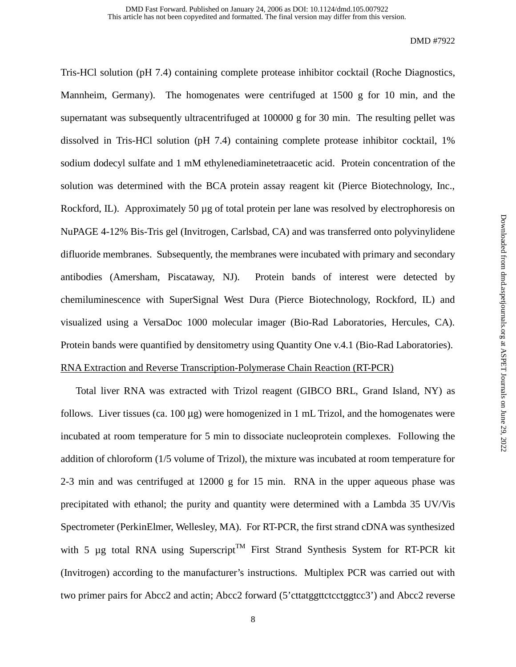Tris-HCl solution (pH 7.4) containing complete protease inhibitor cocktail (Roche Diagnostics, Mannheim, Germany). The homogenates were centrifuged at 1500 g for 10 min, and the supernatant was subsequently ultracentrifuged at 100000 g for 30 min. The resulting pellet was dissolved in Tris-HCl solution (pH 7.4) containing complete protease inhibitor cocktail, 1% sodium dodecyl sulfate and 1 mM ethylenediaminetetraacetic acid. Protein concentration of the solution was determined with the BCA protein assay reagent kit (Pierce Biotechnology, Inc., Rockford, IL). Approximately 50  $\mu$ g of total protein per lane was resolved by electrophoresis on NuPAGE 4-12% Bis-Tris gel (Invitrogen, Carlsbad, CA) and was transferred onto polyvinylidene difluoride membranes. Subsequently, the membranes were incubated with primary and secondary antibodies (Amersham, Piscataway, NJ). Protein bands of interest were detected by chemiluminescence with SuperSignal West Dura (Pierce Biotechnology, Rockford, IL) and visualized using a VersaDoc 1000 molecular imager (Bio-Rad Laboratories, Hercules, CA). Protein bands were quantified by densitometry using Quantity One v.4.1 (Bio-Rad Laboratories). RNA Extraction and Reverse Transcription-Polymerase Chain Reaction (RT-PCR)

Total liver RNA was extracted with Trizol reagent (GIBCO BRL, Grand Island, NY) as follows. Liver tissues (ca.  $100 \mu$ g) were homogenized in 1 mL Trizol, and the homogenates were incubated at room temperature for 5 min to dissociate nucleoprotein complexes. Following the addition of chloroform (1/5 volume of Trizol), the mixture was incubated at room temperature for 2-3 min and was centrifuged at 12000 g for 15 min. RNA in the upper aqueous phase was precipitated with ethanol; the purity and quantity were determined with a Lambda 35 UV/Vis Spectrometer (PerkinElmer, Wellesley, MA). For RT-PCR, the first strand cDNA was synthesized with 5  $\mu$ g total RNA using Superscript<sup>TM</sup> First Strand Synthesis System for RT-PCR kit (Invitrogen) according to the manufacturer's instructions. Multiplex PCR was carried out with two primer pairs for Abcc2 and actin; Abcc2 forward (5'cttatggttctcctggtcc3') and Abcc2 reverse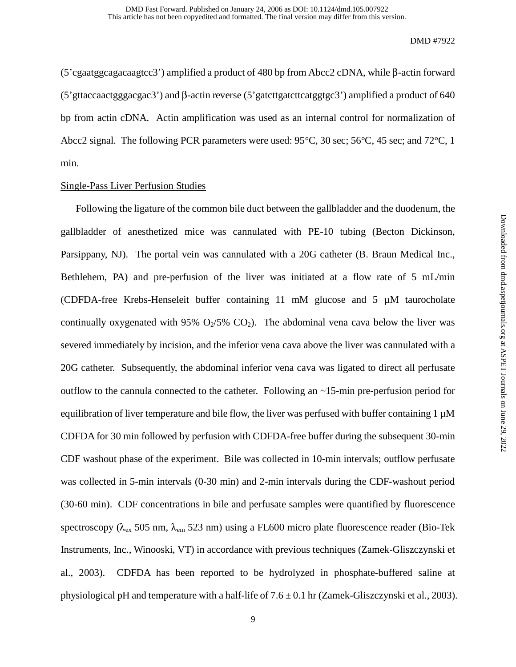(5'cgaatggcagacaagtcc3') amplified a product of 480 bp from Abcc2 cDNA, while β-actin forward (5'gttaccaactgggacgac3') and β-actin reverse (5'gatcttgatcttcatggtgc3') amplified a product of 640 bp from actin cDNA. Actin amplification was used as an internal control for normalization of Abcc2 signal. The following PCR parameters were used: 95°C, 30 sec; 56°C, 45 sec; and 72°C, 1 min.

# Single-Pass Liver Perfusion Studies

Following the ligature of the common bile duct between the gallbladder and the duodenum, the gallbladder of anesthetized mice was cannulated with PE-10 tubing (Becton Dickinson, Parsippany, NJ). The portal vein was cannulated with a 20G catheter (B. Braun Medical Inc., Bethlehem, PA) and pre-perfusion of the liver was initiated at a flow rate of 5 mL/min (CDFDA-free Krebs-Henseleit buffer containing 11 mM glucose and 5 µM taurocholate continually oxygenated with 95%  $O<sub>2</sub>/5%$   $CO<sub>2</sub>$ ). The abdominal vena cava below the liver was severed immediately by incision, and the inferior vena cava above the liver was cannulated with a 20G catheter. Subsequently, the abdominal inferior vena cava was ligated to direct all perfusate outflow to the cannula connected to the catheter. Following an  $\sim$ 15-min pre-perfusion period for equilibration of liver temperature and bile flow, the liver was perfused with buffer containing 1  $\mu$ M CDFDA for 30 min followed by perfusion with CDFDA-free buffer during the subsequent 30-min CDF washout phase of the experiment. Bile was collected in 10-min intervals; outflow perfusate was collected in 5-min intervals (0-30 min) and 2-min intervals during the CDF-washout period (30-60 min). CDF concentrations in bile and perfusate samples were quantified by fluorescence spectroscopy ( $\lambda_{ex}$  505 nm,  $\lambda_{em}$  523 nm) using a FL600 micro plate fluorescence reader (Bio-Tek Instruments, Inc., Winooski, VT) in accordance with previous techniques (Zamek-Gliszczynski et al., 2003). CDFDA has been reported to be hydrolyzed in phosphate-buffered saline at physiological pH and temperature with a half-life of  $7.6 \pm 0.1$  hr (Zamek-Gliszczynski et al., 2003).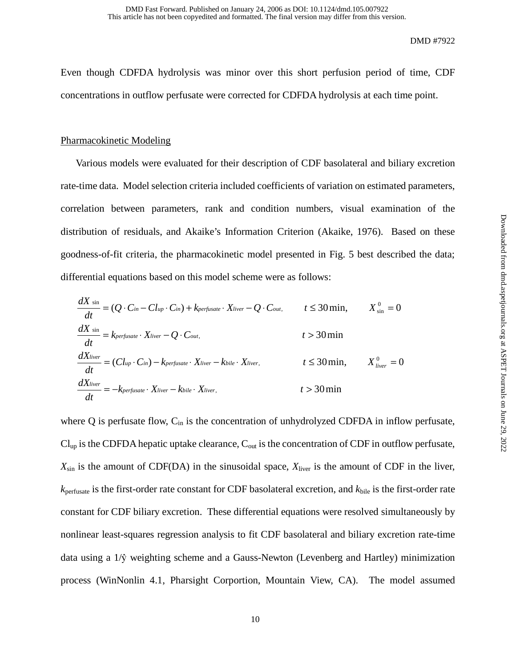Even though CDFDA hydrolysis was minor over this short perfusion period of time, CDF concentrations in outflow perfusate were corrected for CDFDA hydrolysis at each time point.

## Pharmacokinetic Modeling

Various models were evaluated for their description of CDF basolateral and biliary excretion rate-time data. Model selection criteria included coefficients of variation on estimated parameters, correlation between parameters, rank and condition numbers, visual examination of the distribution of residuals, and Akaike's Information Criterion (Akaike, 1976). Based on these goodness-of-fit criteria, the pharmacokinetic model presented in Fig. 5 best described the data; differential equations based on this model scheme were as follows:

$$
\frac{dX}{dt} = (Q \cdot C_{in} - Cl_{up} \cdot C_{in}) + k_{perfect}t \cdot X_{liver} - Q \cdot C_{out}, \qquad t \le 30 \text{ min}, \qquad X_{\text{sin}}^0 = 0
$$
\n
$$
\frac{dX}{dt} = k_{perfect} \cdot X_{liver} - Q \cdot C_{out}, \qquad t > 30 \text{ min}
$$
\n
$$
\frac{dX_{liver}}{dt} = (Cl_{up} \cdot C_{in}) - k_{perfect}t \cdot X_{liver} - k_{bile} \cdot X_{liver}, \qquad t \le 30 \text{ min}, \qquad X_{liver}^0 = 0
$$
\n
$$
\frac{dX_{liver}}{dt} = -k_{perfect} \cdot X_{liver} - k_{bile} \cdot X_{liver}, \qquad t > 30 \text{ min}
$$

where  $Q$  is perfusate flow,  $C_{in}$  is the concentration of unhydrolyzed CDFDA in inflow perfusate,  $Cl_{up}$  is the CDFDA hepatic uptake clearance,  $C_{out}$  is the concentration of CDF in outflow perfusate, *X*sin is the amount of CDF(DA) in the sinusoidal space, *X*liver is the amount of CDF in the liver, *k*perfusate is the first-order rate constant for CDF basolateral excretion, and *k*bile is the first-order rate constant for CDF biliary excretion. These differential equations were resolved simultaneously by nonlinear least-squares regression analysis to fit CDF basolateral and biliary excretion rate-time data using a 1/ŷ weighting scheme and a Gauss-Newton (Levenberg and Hartley) minimization process (WinNonlin 4.1, Pharsight Corportion, Mountain View, CA). The model assumed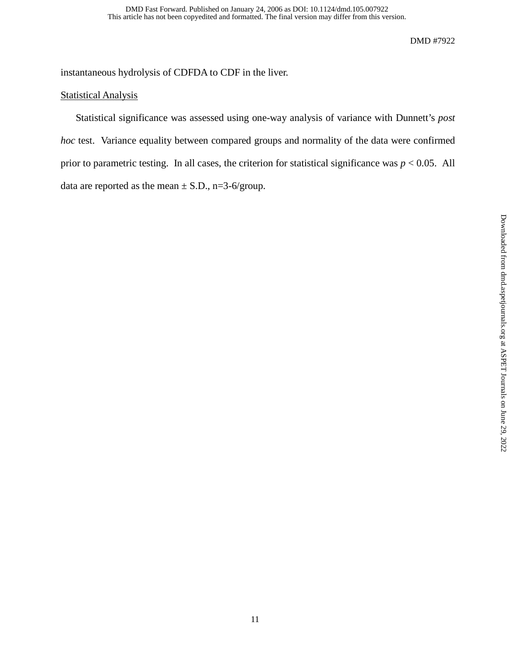instantaneous hydrolysis of CDFDA to CDF in the liver.

# Statistical Analysis

Statistical significance was assessed using one-way analysis of variance with Dunnett's *post hoc* test. Variance equality between compared groups and normality of the data were confirmed prior to parametric testing. In all cases, the criterion for statistical significance was  $p < 0.05$ . All data are reported as the mean  $\pm$  S.D., n=3-6/group.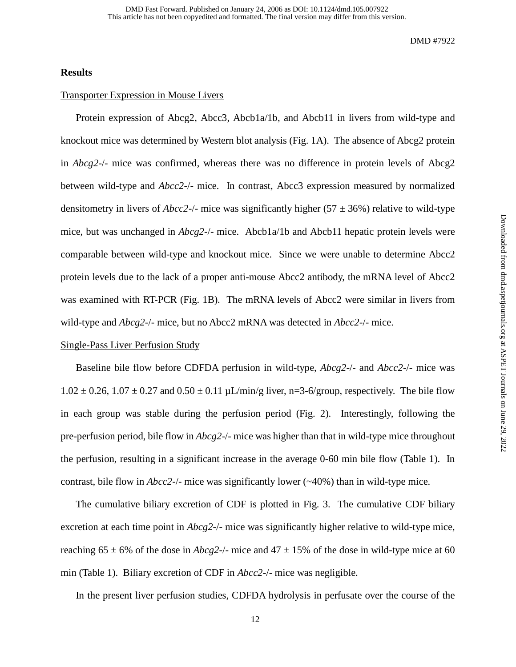### **Results**

# Transporter Expression in Mouse Livers

Protein expression of Abcg2, Abcc3, Abcb1a/1b, and Abcb11 in livers from wild-type and knockout mice was determined by Western blot analysis (Fig. 1A). The absence of Abcg2 protein in *Abcg2*-/- mice was confirmed, whereas there was no difference in protein levels of Abcg2 between wild-type and *Abcc2*-/- mice. In contrast, Abcc3 expression measured by normalized densitometry in livers of *Abcc2-/-* mice was significantly higher (57  $\pm$  36%) relative to wild-type mice, but was unchanged in *Abcg2*-/- mice. Abcb1a/1b and Abcb11 hepatic protein levels were comparable between wild-type and knockout mice. Since we were unable to determine Abcc2 protein levels due to the lack of a proper anti-mouse Abcc2 antibody, the mRNA level of Abcc2 was examined with RT-PCR (Fig. 1B). The mRNA levels of Abcc2 were similar in livers from wild-type and *Abcg2*-/- mice, but no Abcc2 mRNA was detected in *Abcc2*-/- mice.

### Single-Pass Liver Perfusion Study

Baseline bile flow before CDFDA perfusion in wild-type, *Abcg2*-/- and *Abcc2*-/- mice was  $1.02 \pm 0.26$ ,  $1.07 \pm 0.27$  and  $0.50 \pm 0.11$   $\mu$ L/min/g liver, n=3-6/group, respectively. The bile flow in each group was stable during the perfusion period (Fig. 2). Interestingly, following the pre-perfusion period, bile flow in *Abcg2*-/- mice was higher than that in wild-type mice throughout the perfusion, resulting in a significant increase in the average 0-60 min bile flow (Table 1). In contrast, bile flow in *Abcc2*-/- mice was significantly lower (~40%) than in wild-type mice.

The cumulative biliary excretion of CDF is plotted in Fig. 3. The cumulative CDF biliary excretion at each time point in *Abcg2*-/- mice was significantly higher relative to wild-type mice, reaching  $65 \pm 6\%$  of the dose in *Abcg2-/-* mice and  $47 \pm 15\%$  of the dose in wild-type mice at 60 min (Table 1). Biliary excretion of CDF in *Abcc2*-/- mice was negligible.

In the present liver perfusion studies, CDFDA hydrolysis in perfusate over the course of the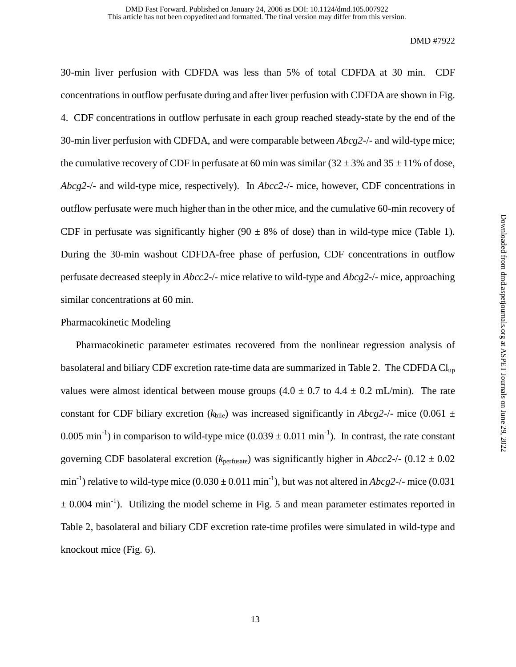30-min liver perfusion with CDFDA was less than 5% of total CDFDA at 30 min. CDF concentrations in outflow perfusate during and after liver perfusion with CDFDA are shown in Fig. 4. CDF concentrations in outflow perfusate in each group reached steady-state by the end of the 30-min liver perfusion with CDFDA, and were comparable between *Abcg2*-/- and wild-type mice; the cumulative recovery of CDF in perfusate at 60 min was similar  $(32 \pm 3\%$  and  $35 \pm 11\%$  of dose, *Abcg2*-/- and wild-type mice, respectively). In *Abcc2*-/- mice, however, CDF concentrations in outflow perfusate were much higher than in the other mice, and the cumulative 60-min recovery of CDF in perfusate was significantly higher (90  $\pm$  8% of dose) than in wild-type mice (Table 1). During the 30-min washout CDFDA-free phase of perfusion, CDF concentrations in outflow perfusate decreased steeply in *Abcc2*-/- mice relative to wild-type and *Abcg2*-/- mice, approaching similar concentrations at 60 min.

#### Pharmacokinetic Modeling

Pharmacokinetic parameter estimates recovered from the nonlinear regression analysis of basolateral and biliary CDF excretion rate-time data are summarized in Table 2. The CDFDA Clup values were almost identical between mouse groups  $(4.0 \pm 0.7 \text{ to } 4.4 \pm 0.2 \text{ mL/min})$ . The rate constant for CDF biliary excretion ( $k_{\text{bile}}$ ) was increased significantly in *Abcg2-/-* mice (0.061  $\pm$ 0.005 min<sup>-1</sup>) in comparison to wild-type mice  $(0.039 \pm 0.011 \text{ min}^{-1})$ . In contrast, the rate constant governing CDF basolateral excretion ( $k_{\text{perfusate}}$ ) was significantly higher in  $Abcc2$ -/- (0.12  $\pm$  0.02 min<sup>-1</sup>) relative to wild-type mice  $(0.030 \pm 0.011 \text{ min}^{-1})$ , but was not altered in *Abcg2-/-* mice  $(0.031 \text{ min}^{-1})$  $\pm$  0.004 min<sup>-1</sup>). Utilizing the model scheme in Fig. 5 and mean parameter estimates reported in Table 2, basolateral and biliary CDF excretion rate-time profiles were simulated in wild-type and knockout mice (Fig. 6).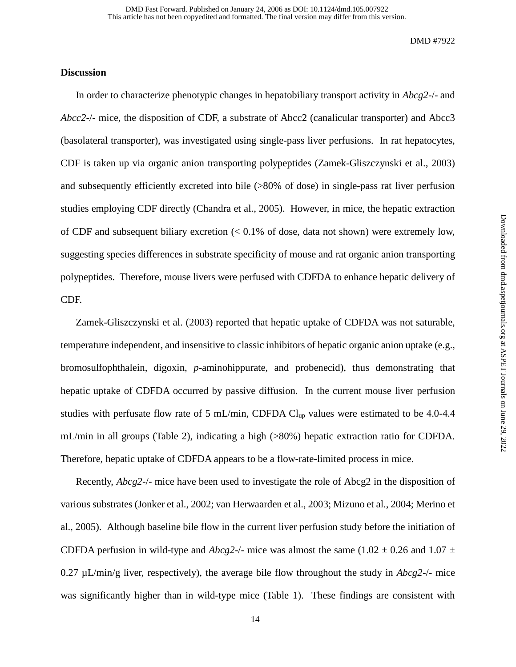# **Discussion**

In order to characterize phenotypic changes in hepatobiliary transport activity in *Abcg2*-/- and *Abcc2*-/- mice, the disposition of CDF, a substrate of Abcc2 (canalicular transporter) and Abcc3 (basolateral transporter), was investigated using single-pass liver perfusions. In rat hepatocytes, CDF is taken up via organic anion transporting polypeptides (Zamek-Gliszczynski et al., 2003) and subsequently efficiently excreted into bile (>80% of dose) in single-pass rat liver perfusion studies employing CDF directly (Chandra et al., 2005). However, in mice, the hepatic extraction of CDF and subsequent biliary excretion (< 0.1% of dose, data not shown) were extremely low, suggesting species differences in substrate specificity of mouse and rat organic anion transporting polypeptides. Therefore, mouse livers were perfused with CDFDA to enhance hepatic delivery of CDF.

Zamek-Gliszczynski et al. (2003) reported that hepatic uptake of CDFDA was not saturable, temperature independent, and insensitive to classic inhibitors of hepatic organic anion uptake (e.g., bromosulfophthalein, digoxin, *p*-aminohippurate, and probenecid), thus demonstrating that hepatic uptake of CDFDA occurred by passive diffusion. In the current mouse liver perfusion studies with perfusate flow rate of 5 mL/min, CDFDA Clup values were estimated to be 4.0-4.4 mL/min in all groups (Table 2), indicating a high (>80%) hepatic extraction ratio for CDFDA. Therefore, hepatic uptake of CDFDA appears to be a flow-rate-limited process in mice.

Recently, *Abcg2*-/- mice have been used to investigate the role of Abcg2 in the disposition of various substrates (Jonker et al., 2002; van Herwaarden et al., 2003; Mizuno et al., 2004; Merino et al., 2005). Although baseline bile flow in the current liver perfusion study before the initiation of CDFDA perfusion in wild-type and *Abcg2-/-* mice was almost the same (1.02  $\pm$  0.26 and 1.07  $\pm$ 0.27 µL/min/g liver, respectively), the average bile flow throughout the study in *Abcg2*-/- mice was significantly higher than in wild-type mice (Table 1). These findings are consistent with

Downloaded from dmd.aspetjournals.org at ASPET Journals on June 29, 2022 Downloaded from [dmd.aspetjournals.org](http://dmd.aspetjournals.org/) at ASPET Journals on June 29, 2022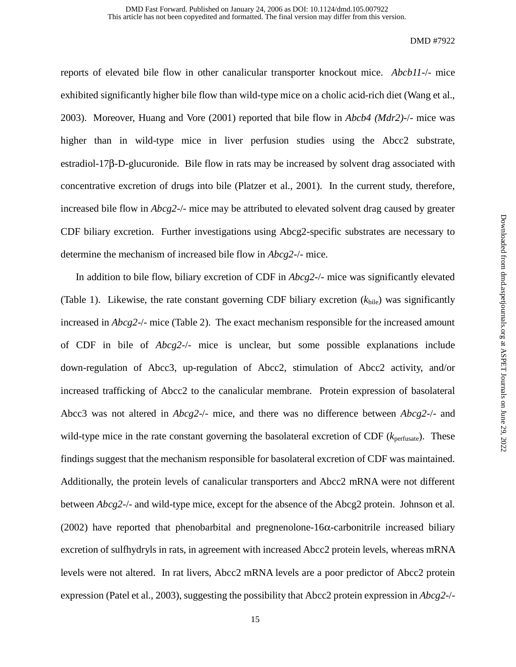reports of elevated bile flow in other canalicular transporter knockout mice. *Abcb11*-/- mice exhibited significantly higher bile flow than wild-type mice on a cholic acid-rich diet (Wang et al., 2003). Moreover, Huang and Vore (2001) reported that bile flow in *Abcb4 (Mdr2)*-/- mice was higher than in wild-type mice in liver perfusion studies using the Abcc2 substrate, estradiol-17β-D-glucuronide. Bile flow in rats may be increased by solvent drag associated with concentrative excretion of drugs into bile (Platzer et al., 2001). In the current study, therefore, increased bile flow in *Abcg2*-/- mice may be attributed to elevated solvent drag caused by greater CDF biliary excretion. Further investigations using Abcg2-specific substrates are necessary to determine the mechanism of increased bile flow in *Abcg2*-/- mice.

In addition to bile flow, biliary excretion of CDF in *Abcg2*-/- mice was significantly elevated (Table 1). Likewise, the rate constant governing CDF biliary excretion  $(k_{\text{bile}})$  was significantly increased in *Abcg2*-/- mice (Table 2). The exact mechanism responsible for the increased amount of CDF in bile of *Abcg2*-/- mice is unclear, but some possible explanations include down-regulation of Abcc3, up-regulation of Abcc2, stimulation of Abcc2 activity, and/or increased trafficking of Abcc2 to the canalicular membrane. Protein expression of basolateral Abcc3 was not altered in *Abcg2*-/- mice, and there was no difference between *Abcg2*-/- and wild-type mice in the rate constant governing the basolateral excretion of CDF ( $k_{\text{perfusate}}$ ). These findings suggest that the mechanism responsible for basolateral excretion of CDF was maintained. Additionally, the protein levels of canalicular transporters and Abcc2 mRNA were not different between *Abcg2*-/- and wild-type mice, except for the absence of the Abcg2 protein. Johnson et al. (2002) have reported that phenobarbital and pregnenolone-16α-carbonitrile increased biliary excretion of sulfhydryls in rats, in agreement with increased Abcc2 protein levels, whereas mRNA levels were not altered. In rat livers, Abcc2 mRNA levels are a poor predictor of Abcc2 protein expression (Patel et al., 2003), suggesting the possibility that Abcc2 protein expression in *Abcg2*-/-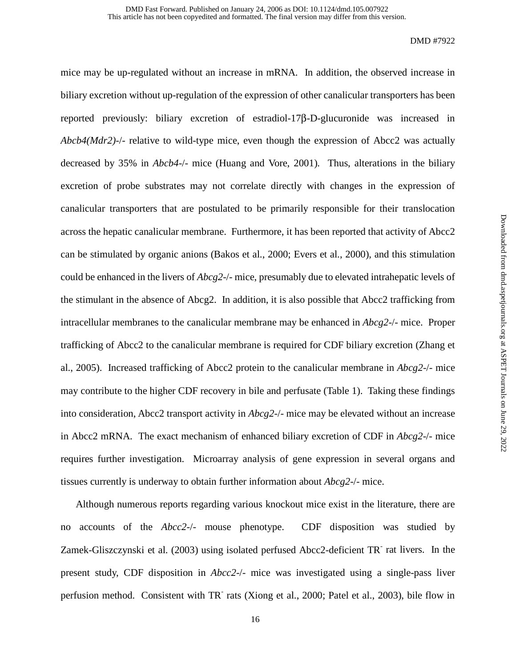mice may be up-regulated without an increase in mRNA. In addition, the observed increase in biliary excretion without up-regulation of the expression of other canalicular transporters has been reported previously: biliary excretion of estradiol-17β-D-glucuronide was increased in *Abcb4(Mdr2)*-/- relative to wild-type mice, even though the expression of Abcc2 was actually decreased by 35% in *Abcb4*-/- mice (Huang and Vore, 2001). Thus, alterations in the biliary excretion of probe substrates may not correlate directly with changes in the expression of canalicular transporters that are postulated to be primarily responsible for their translocation across the hepatic canalicular membrane. Furthermore, it has been reported that activity of Abcc2 can be stimulated by organic anions (Bakos et al., 2000; Evers et al., 2000), and this stimulation could be enhanced in the livers of *Abcg2*-/- mice, presumably due to elevated intrahepatic levels of the stimulant in the absence of Abcg2. In addition, it is also possible that Abcc2 trafficking from intracellular membranes to the canalicular membrane may be enhanced in *Abcg2*-/- mice. Proper trafficking of Abcc2 to the canalicular membrane is required for CDF biliary excretion (Zhang et al., 2005). Increased trafficking of Abcc2 protein to the canalicular membrane in *Abcg2*-/- mice may contribute to the higher CDF recovery in bile and perfusate (Table 1). Taking these findings into consideration, Abcc2 transport activity in *Abcg2*-/- mice may be elevated without an increase in Abcc2 mRNA. The exact mechanism of enhanced biliary excretion of CDF in *Abcg2*-/- mice requires further investigation. Microarray analysis of gene expression in several organs and tissues currently is underway to obtain further information about *Abcg2*-/- mice.

Although numerous reports regarding various knockout mice exist in the literature, there are no accounts of the *Abcc2*-/- mouse phenotype. CDF disposition was studied by Zamek-Gliszczynski et al. (2003) using isolated perfused Abcc2-deficient TR rat livers. In the present study, CDF disposition in *Abcc2*-/- mice was investigated using a single-pass liver perfusion method. Consistent with TR rats (Xiong et al., 2000; Patel et al., 2003), bile flow in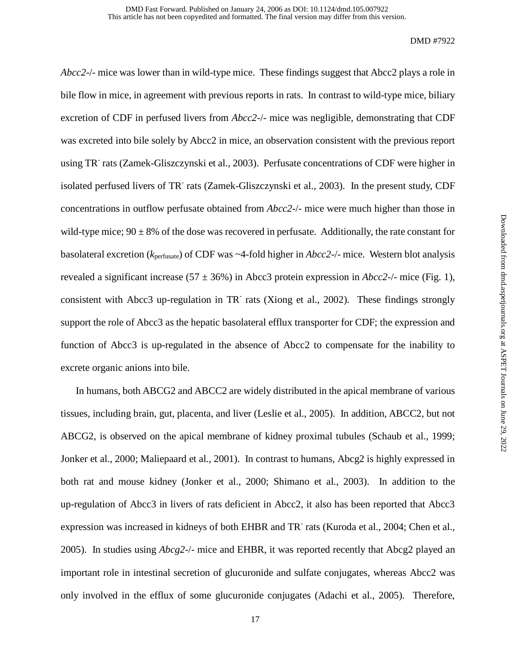*Abcc2*-/- mice was lower than in wild-type mice. These findings suggest that Abcc2 plays a role in bile flow in mice, in agreement with previous reports in rats. In contrast to wild-type mice, biliary excretion of CDF in perfused livers from *Abcc2*-/- mice was negligible, demonstrating that CDF was excreted into bile solely by Abcc2 in mice, an observation consistent with the previous report using TR<sup>-</sup> rats (Zamek-Gliszczynski et al., 2003). Perfusate concentrations of CDF were higher in isolated perfused livers of TR<sup>-</sup> rats (Zamek-Gliszczynski et al., 2003). In the present study, CDF concentrations in outflow perfusate obtained from *Abcc2*-/- mice were much higher than those in wild-type mice;  $90 \pm 8\%$  of the dose was recovered in perfusate. Additionally, the rate constant for basolateral excretion (*k*perfusate) of CDF was ~4-fold higher in *Abcc2*-/- mice. Western blot analysis revealed a significant increase ( $57 \pm 36\%$ ) in Abcc3 protein expression in *Abcc2*-/- mice (Fig. 1), consistent with Abcc3 up-regulation in TR rats (Xiong et al., 2002). These findings strongly support the role of Abcc3 as the hepatic basolateral efflux transporter for CDF; the expression and function of Abcc3 is up-regulated in the absence of Abcc2 to compensate for the inability to excrete organic anions into bile.

In humans, both ABCG2 and ABCC2 are widely distributed in the apical membrane of various tissues, including brain, gut, placenta, and liver (Leslie et al., 2005). In addition, ABCC2, but not ABCG2, is observed on the apical membrane of kidney proximal tubules (Schaub et al., 1999; Jonker et al., 2000; Maliepaard et al., 2001). In contrast to humans, Abcg2 is highly expressed in both rat and mouse kidney (Jonker et al., 2000; Shimano et al., 2003). In addition to the up-regulation of Abcc3 in livers of rats deficient in Abcc2, it also has been reported that Abcc3 expression was increased in kidneys of both EHBR and TR<sup>-</sup> rats (Kuroda et al., 2004; Chen et al., 2005). In studies using *Abcg2*-/- mice and EHBR, it was reported recently that Abcg2 played an important role in intestinal secretion of glucuronide and sulfate conjugates, whereas Abcc2 was only involved in the efflux of some glucuronide conjugates (Adachi et al., 2005). Therefore,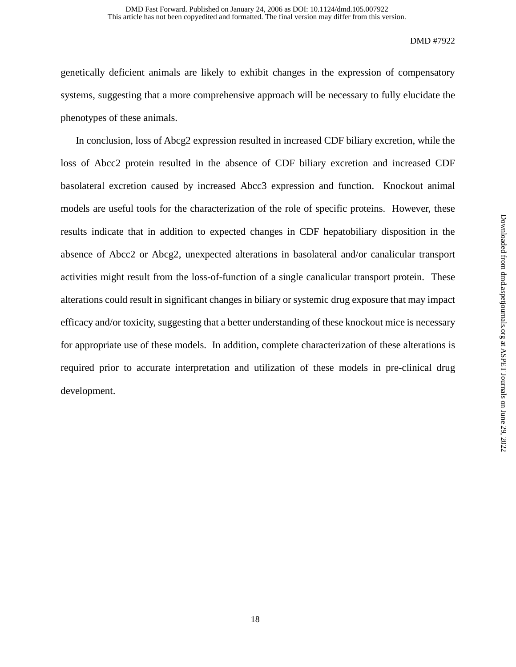genetically deficient animals are likely to exhibit changes in the expression of compensatory systems, suggesting that a more comprehensive approach will be necessary to fully elucidate the phenotypes of these animals.

In conclusion, loss of Abcg2 expression resulted in increased CDF biliary excretion, while the loss of Abcc2 protein resulted in the absence of CDF biliary excretion and increased CDF basolateral excretion caused by increased Abcc3 expression and function. Knockout animal models are useful tools for the characterization of the role of specific proteins. However, these results indicate that in addition to expected changes in CDF hepatobiliary disposition in the absence of Abcc2 or Abcg2, unexpected alterations in basolateral and/or canalicular transport activities might result from the loss-of-function of a single canalicular transport protein. These alterations could result in significant changes in biliary or systemic drug exposure that may impact efficacy and/or toxicity, suggesting that a better understanding of these knockout mice is necessary for appropriate use of these models. In addition, complete characterization of these alterations is required prior to accurate interpretation and utilization of these models in pre-clinical drug development.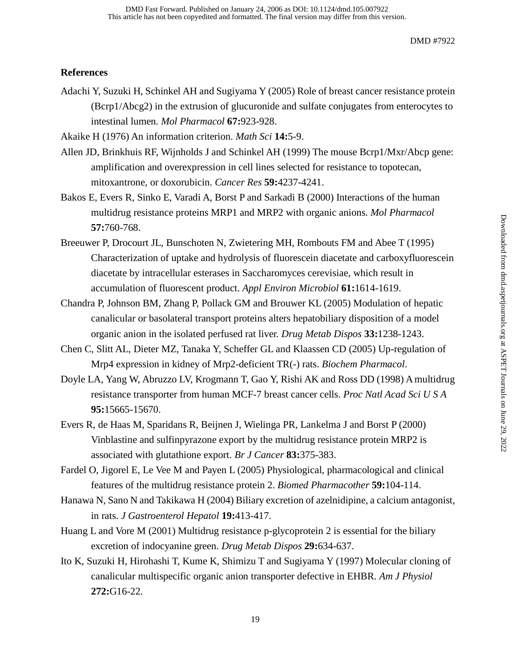# **References**

Adachi Y, Suzuki H, Schinkel AH and Sugiyama Y (2005) Role of breast cancer resistance protein (Bcrp1/Abcg2) in the extrusion of glucuronide and sulfate conjugates from enterocytes to intestinal lumen. *Mol Pharmacol* **67:**923-928.

Akaike H (1976) An information criterion. *Math Sci* **14:**5-9.

- Allen JD, Brinkhuis RF, Wijnholds J and Schinkel AH (1999) The mouse Bcrp1/Mxr/Abcp gene: amplification and overexpression in cell lines selected for resistance to topotecan, mitoxantrone, or doxorubicin. *Cancer Res* **59:**4237-4241.
- Bakos E, Evers R, Sinko E, Varadi A, Borst P and Sarkadi B (2000) Interactions of the human multidrug resistance proteins MRP1 and MRP2 with organic anions. *Mol Pharmacol* **57:**760-768.
- Breeuwer P, Drocourt JL, Bunschoten N, Zwietering MH, Rombouts FM and Abee T (1995) Characterization of uptake and hydrolysis of fluorescein diacetate and carboxyfluorescein diacetate by intracellular esterases in Saccharomyces cerevisiae, which result in accumulation of fluorescent product. *Appl Environ Microbiol* **61:**1614-1619.
- Chandra P, Johnson BM, Zhang P, Pollack GM and Brouwer KL (2005) Modulation of hepatic canalicular or basolateral transport proteins alters hepatobiliary disposition of a model organic anion in the isolated perfused rat liver. *Drug Metab Dispos* **33:**1238-1243.
- Chen C, Slitt AL, Dieter MZ, Tanaka Y, Scheffer GL and Klaassen CD (2005) Up-regulation of Mrp4 expression in kidney of Mrp2-deficient TR(-) rats. *Biochem Pharmacol*.
- Doyle LA, Yang W, Abruzzo LV, Krogmann T, Gao Y, Rishi AK and Ross DD (1998) A multidrug resistance transporter from human MCF-7 breast cancer cells. *Proc Natl Acad Sci U S A* **95:**15665-15670.
- Evers R, de Haas M, Sparidans R, Beijnen J, Wielinga PR, Lankelma J and Borst P (2000) Vinblastine and sulfinpyrazone export by the multidrug resistance protein MRP2 is associated with glutathione export. *Br J Cancer* **83:**375-383.
- Fardel O, Jigorel E, Le Vee M and Payen L (2005) Physiological, pharmacological and clinical features of the multidrug resistance protein 2. *Biomed Pharmacother* **59:**104-114.
- Hanawa N, Sano N and Takikawa H (2004) Biliary excretion of azelnidipine, a calcium antagonist, in rats. *J Gastroenterol Hepatol* **19:**413-417.
- Huang L and Vore M (2001) Multidrug resistance p-glycoprotein 2 is essential for the biliary excretion of indocyanine green. *Drug Metab Dispos* **29:**634-637.
- Ito K, Suzuki H, Hirohashi T, Kume K, Shimizu T and Sugiyama Y (1997) Molecular cloning of canalicular multispecific organic anion transporter defective in EHBR. *Am J Physiol* **272:**G16-22.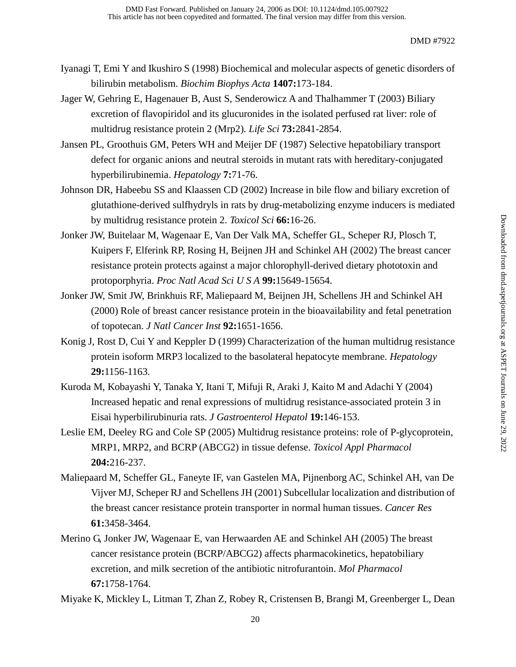- Iyanagi T, Emi Y and Ikushiro S (1998) Biochemical and molecular aspects of genetic disorders of bilirubin metabolism. *Biochim Biophys Acta* **1407:**173-184.
- Jager W, Gehring E, Hagenauer B, Aust S, Senderowicz A and Thalhammer T (2003) Biliary excretion of flavopiridol and its glucuronides in the isolated perfused rat liver: role of multidrug resistance protein 2 (Mrp2). *Life Sci* **73:**2841-2854.
- Jansen PL, Groothuis GM, Peters WH and Meijer DF (1987) Selective hepatobiliary transport defect for organic anions and neutral steroids in mutant rats with hereditary-conjugated hyperbilirubinemia. *Hepatology* **7:**71-76.
- Johnson DR, Habeebu SS and Klaassen CD (2002) Increase in bile flow and biliary excretion of glutathione-derived sulfhydryls in rats by drug-metabolizing enzyme inducers is mediated by multidrug resistance protein 2. *Toxicol Sci* **66:**16-26.
- Jonker JW, Buitelaar M, Wagenaar E, Van Der Valk MA, Scheffer GL, Scheper RJ, Plosch T, Kuipers F, Elferink RP, Rosing H, Beijnen JH and Schinkel AH (2002) The breast cancer resistance protein protects against a major chlorophyll-derived dietary phototoxin and protoporphyria. *Proc Natl Acad Sci U S A* **99:**15649-15654.
- Jonker JW, Smit JW, Brinkhuis RF, Maliepaard M, Beijnen JH, Schellens JH and Schinkel AH (2000) Role of breast cancer resistance protein in the bioavailability and fetal penetration of topotecan. *J Natl Cancer Inst* **92:**1651-1656.
- Konig J, Rost D, Cui Y and Keppler D (1999) Characterization of the human multidrug resistance protein isoform MRP3 localized to the basolateral hepatocyte membrane. *Hepatology* **29:**1156-1163.
- Kuroda M, Kobayashi Y, Tanaka Y, Itani T, Mifuji R, Araki J, Kaito M and Adachi Y (2004) Increased hepatic and renal expressions of multidrug resistance-associated protein 3 in Eisai hyperbilirubinuria rats. *J Gastroenterol Hepatol* **19:**146-153.
- Leslie EM, Deeley RG and Cole SP (2005) Multidrug resistance proteins: role of P-glycoprotein, MRP1, MRP2, and BCRP (ABCG2) in tissue defense. *Toxicol Appl Pharmacol* **204:**216-237.
- Maliepaard M, Scheffer GL, Faneyte IF, van Gastelen MA, Pijnenborg AC, Schinkel AH, van De Vijver MJ, Scheper RJ and Schellens JH (2001) Subcellular localization and distribution of the breast cancer resistance protein transporter in normal human tissues. *Cancer Res* **61:**3458-3464.
- Merino G, Jonker JW, Wagenaar E, van Herwaarden AE and Schinkel AH (2005) The breast cancer resistance protein (BCRP/ABCG2) affects pharmacokinetics, hepatobiliary excretion, and milk secretion of the antibiotic nitrofurantoin. *Mol Pharmacol* **67:**1758-1764.

Miyake K, Mickley L, Litman T, Zhan Z, Robey R, Cristensen B, Brangi M, Greenberger L, Dean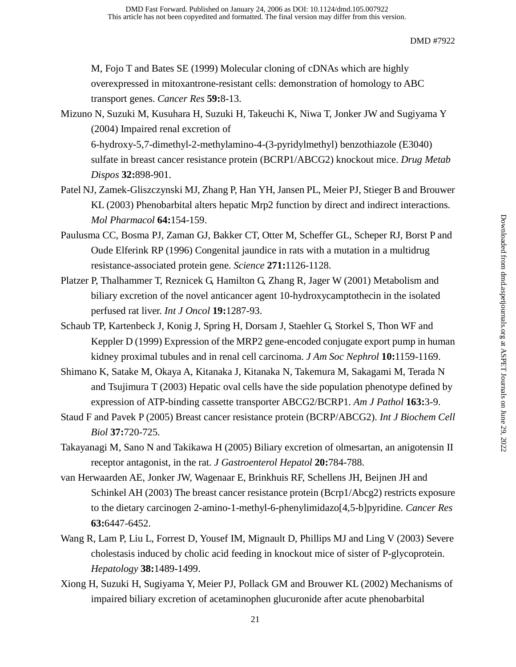M, Fojo T and Bates SE (1999) Molecular cloning of cDNAs which are highly overexpressed in mitoxantrone-resistant cells: demonstration of homology to ABC transport genes. *Cancer Res* **59:**8-13.

# Mizuno N, Suzuki M, Kusuhara H, Suzuki H, Takeuchi K, Niwa T, Jonker JW and Sugiyama Y (2004) Impaired renal excretion of 6-hydroxy-5,7-dimethyl-2-methylamino-4-(3-pyridylmethyl) benzothiazole (E3040) sulfate in breast cancer resistance protein (BCRP1/ABCG2) knockout mice. *Drug Metab*

*Dispos* **32:**898-901.

- Patel NJ, Zamek-Gliszczynski MJ, Zhang P, Han YH, Jansen PL, Meier PJ, Stieger B and Brouwer KL (2003) Phenobarbital alters hepatic Mrp2 function by direct and indirect interactions. *Mol Pharmacol* **64:**154-159.
- Paulusma CC, Bosma PJ, Zaman GJ, Bakker CT, Otter M, Scheffer GL, Scheper RJ, Borst P and Oude Elferink RP (1996) Congenital jaundice in rats with a mutation in a multidrug resistance-associated protein gene. *Science* **271:**1126-1128.
- Platzer P, Thalhammer T, Reznicek G, Hamilton G, Zhang R, Jager W (2001) Metabolism and biliary excretion of the novel anticancer agent 10-hydroxycamptothecin in the isolated perfused rat liver. *Int J Oncol* **19:**1287-93.
- Schaub TP, Kartenbeck J, Konig J, Spring H, Dorsam J, Staehler G, Storkel S, Thon WF and Keppler D (1999) Expression of the MRP2 gene-encoded conjugate export pump in human kidney proximal tubules and in renal cell carcinoma. *J Am Soc Nephrol* **10:**1159-1169.
- Shimano K, Satake M, Okaya A, Kitanaka J, Kitanaka N, Takemura M, Sakagami M, Terada N and Tsujimura T (2003) Hepatic oval cells have the side population phenotype defined by expression of ATP-binding cassette transporter ABCG2/BCRP1. *Am J Pathol* **163:**3-9.
- Staud F and Pavek P (2005) Breast cancer resistance protein (BCRP/ABCG2). *Int J Biochem Cell Biol* **37:**720-725.
- Takayanagi M, Sano N and Takikawa H (2005) Biliary excretion of olmesartan, an anigotensin II receptor antagonist, in the rat. *J Gastroenterol Hepatol* **20:**784-788.
- van Herwaarden AE, Jonker JW, Wagenaar E, Brinkhuis RF, Schellens JH, Beijnen JH and Schinkel AH (2003) The breast cancer resistance protein (Bcrp1/Abcg2) restricts exposure to the dietary carcinogen 2-amino-1-methyl-6-phenylimidazo[4,5-b]pyridine. *Cancer Res* **63:**6447-6452.
- Wang R, Lam P, Liu L, Forrest D, Yousef IM, Mignault D, Phillips MJ and Ling V (2003) Severe cholestasis induced by cholic acid feeding in knockout mice of sister of P-glycoprotein. *Hepatology* **38:**1489-1499.
- Xiong H, Suzuki H, Sugiyama Y, Meier PJ, Pollack GM and Brouwer KL (2002) Mechanisms of impaired biliary excretion of acetaminophen glucuronide after acute phenobarbital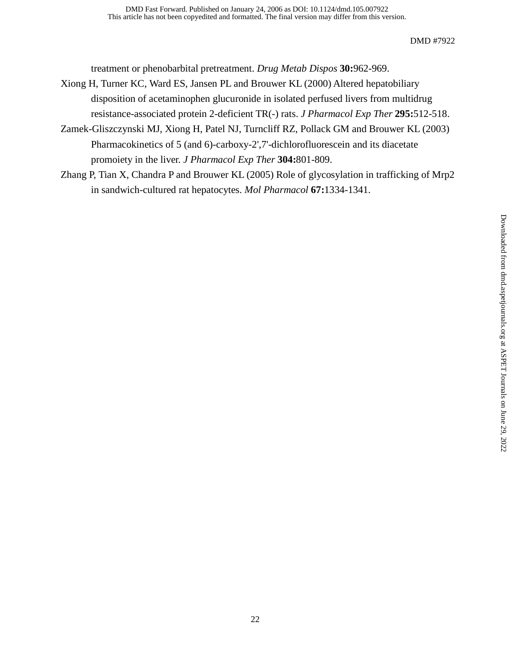treatment or phenobarbital pretreatment. *Drug Metab Dispos* **30:**962-969.

- Xiong H, Turner KC, Ward ES, Jansen PL and Brouwer KL (2000) Altered hepatobiliary disposition of acetaminophen glucuronide in isolated perfused livers from multidrug resistance-associated protein 2-deficient TR(-) rats. *J Pharmacol Exp Ther* **295:**512-518.
- Zamek-Gliszczynski MJ, Xiong H, Patel NJ, Turncliff RZ, Pollack GM and Brouwer KL (2003) Pharmacokinetics of 5 (and 6)-carboxy-2',7'-dichlorofluorescein and its diacetate promoiety in the liver. *J Pharmacol Exp Ther* **304:**801-809.
- Zhang P, Tian X, Chandra P and Brouwer KL (2005) Role of glycosylation in trafficking of Mrp2 in sandwich-cultured rat hepatocytes. *Mol Pharmacol* **67:**1334-1341.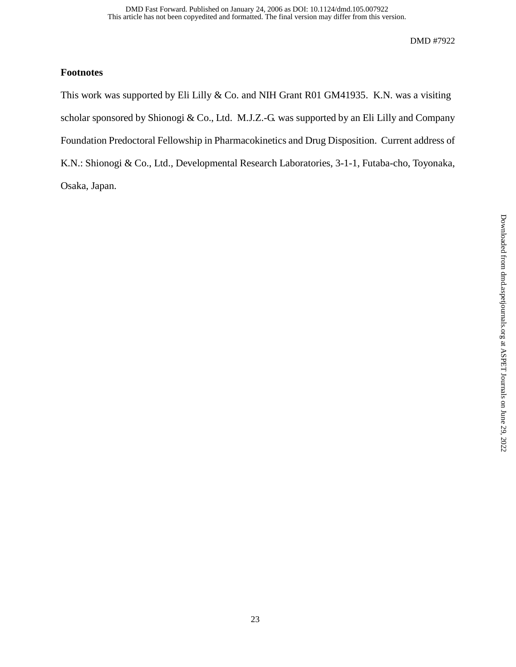# **Footnotes**

This work was supported by Eli Lilly & Co. and NIH Grant R01 GM41935. K.N. was a visiting scholar sponsored by Shionogi & Co., Ltd. M.J.Z.-G. was supported by an Eli Lilly and Company Foundation Predoctoral Fellowship in Pharmacokinetics and Drug Disposition. Current address of K.N.: Shionogi & Co., Ltd., Developmental Research Laboratories, 3-1-1, Futaba-cho, Toyonaka, Osaka, Japan.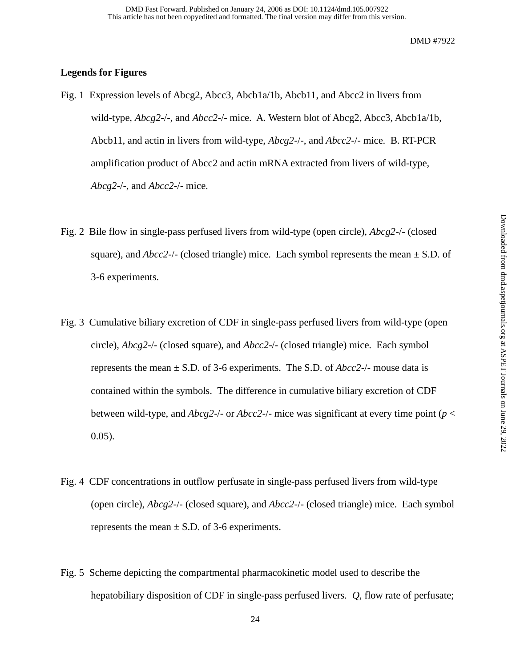# **Legends for Figures**

- Fig. 1 Expression levels of Abcg2, Abcc3, Abcb1a/1b, Abcb11, and Abcc2 in livers from wild-type, *Abcg2*-/-, and *Abcc2*-/- mice. A. Western blot of Abcg2, Abcc3, Abcb1a/1b, Abcb11, and actin in livers from wild-type, *Abcg2*-/-, and *Abcc2*-/- mice. B. RT-PCR amplification product of Abcc2 and actin mRNA extracted from livers of wild-type, *Abcg2*-/-, and *Abcc2*-/- mice.
- Fig. 2 Bile flow in single-pass perfused livers from wild-type (open circle), *Abcg2*-/- (closed square), and  $Abcc2$ -/- (closed triangle) mice. Each symbol represents the mean  $\pm$  S.D. of 3-6 experiments.
- Fig. 3 Cumulative biliary excretion of CDF in single-pass perfused livers from wild-type (open circle), *Abcg2*-/- (closed square), and *Abcc2*-/- (closed triangle) mice. Each symbol represents the mean  $\pm$  S.D. of 3-6 experiments. The S.D. of *Abcc2-/-* mouse data is contained within the symbols. The difference in cumulative biliary excretion of CDF between wild-type, and *Abcg2*-/- or *Abcc2*-/- mice was significant at every time point (*p* < 0.05).
- Fig. 4 CDF concentrations in outflow perfusate in single-pass perfused livers from wild-type (open circle), *Abcg2*-/- (closed square), and *Abcc2*-/- (closed triangle) mice. Each symbol represents the mean  $\pm$  S.D. of 3-6 experiments.
- Fig. 5 Scheme depicting the compartmental pharmacokinetic model used to describe the hepatobiliary disposition of CDF in single-pass perfused livers. *Q*, flow rate of perfusate;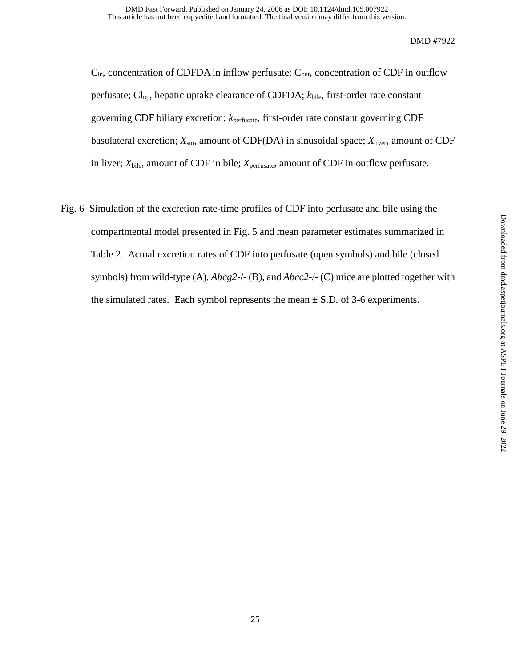$C_{in}$ , concentration of CDFDA in inflow perfusate;  $C_{out}$ , concentration of CDF in outflow perfusate; Clup, hepatic uptake clearance of CDFDA; *k*bile, first-order rate constant governing CDF biliary excretion; *k*perfusate, first-order rate constant governing CDF basolateral excretion; *X*sin, amount of CDF(DA) in sinusoidal space; *X*liver, amount of CDF in liver;  $X_{\text{bile}}$ , amount of CDF in bile;  $X_{\text{perfusate}}$ , amount of CDF in outflow perfusate.

Fig. 6 Simulation of the excretion rate-time profiles of CDF into perfusate and bile using the compartmental model presented in Fig. 5 and mean parameter estimates summarized in Table 2. Actual excretion rates of CDF into perfusate (open symbols) and bile (closed symbols) from wild-type (A), *Abcg2*-/- (B), and *Abcc2*-/- (C) mice are plotted together with the simulated rates. Each symbol represents the mean  $\pm$  S.D. of 3-6 experiments.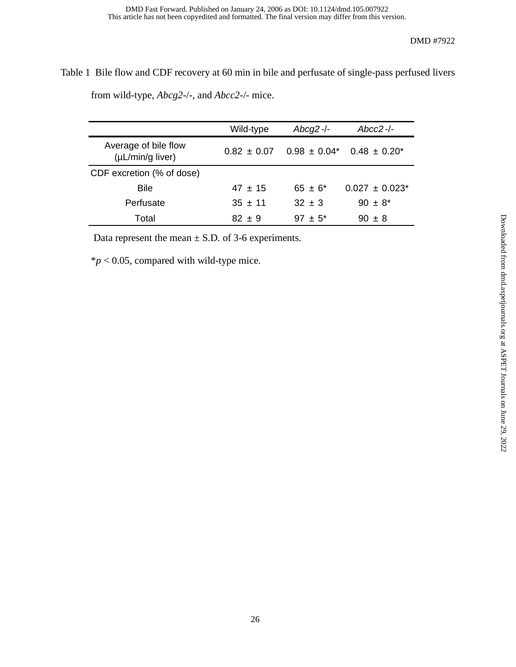Table 1 Bile flow and CDF recovery at 60 min in bile and perfusate of single-pass perfused livers from wild-type, *Abcg2*-/-, and *Abcc2*-/- mice.

|                                               | Wild-type       | $Abcg2$ -/- | $Abcc2$ -/-                                    |
|-----------------------------------------------|-----------------|-------------|------------------------------------------------|
| Average of bile flow<br>$(\mu L/min/g$ liver) | $0.82 \pm 0.07$ |             | $0.98 \pm 0.04^*$ 0.48 $\pm$ 0.20 <sup>*</sup> |
| CDF excretion (% of dose)                     |                 |             |                                                |
| <b>Bile</b>                                   | $47 \pm 15$     | $65 + 6*$   | $0.027 + 0.023*$                               |
| Perfusate                                     | $35 \pm 11$     | $32 + 3$    | $90 \pm 8^*$                                   |
| Total                                         | $82 + 9$        | $97 + 5^*$  | $90 \pm 8$                                     |

Data represent the mean  $\pm$  S.D. of 3-6 experiments.

\**p* < 0.05, compared with wild-type mice.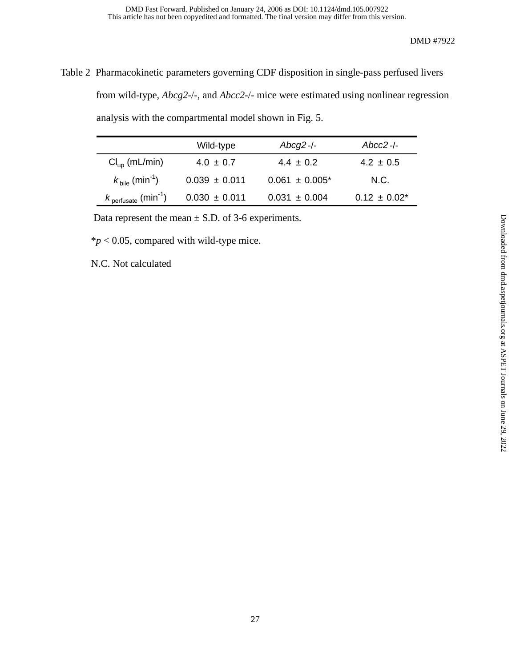Table 2 Pharmacokinetic parameters governing CDF disposition in single-pass perfused livers from wild-type, *Abcg2*-/-, and *Abcc2*-/- mice were estimated using nonlinear regression analysis with the compartmental model shown in Fig. 5.

|                                        | Wild-type         | $Abcg2$ -/-         | Abcc2 -/-         |
|----------------------------------------|-------------------|---------------------|-------------------|
| $Clup$ (mL/min)                        | $4.0 \pm 0.7$     | $4.4 \pm 0.2$       | $4.2 \pm 0.5$     |
| $k_{\text{bile}}$ (min <sup>-1</sup> ) | $0.039 \pm 0.011$ | $0.061 \pm 0.005^*$ | N.C.              |
| $k_{\mathsf{perfusate}}$ (min $^{-1})$ | $0.030 \pm 0.011$ | $0.031 \pm 0.004$   | $0.12 \pm 0.02^*$ |

Data represent the mean  $\pm$  S.D. of 3-6 experiments.

 $**p* < 0.05$ , compared with wild-type mice.

N.C. Not calculated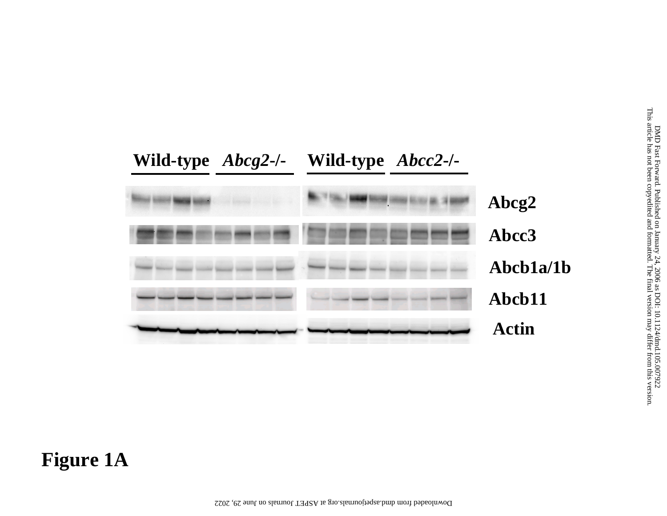

# **Figure 1A**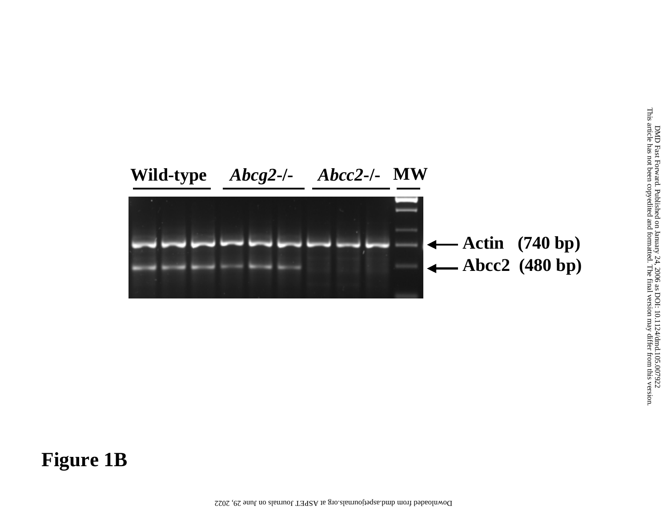

# **Figure 1B**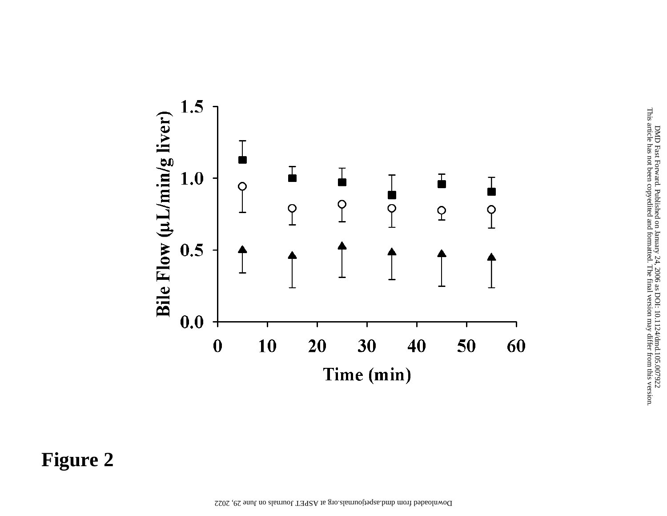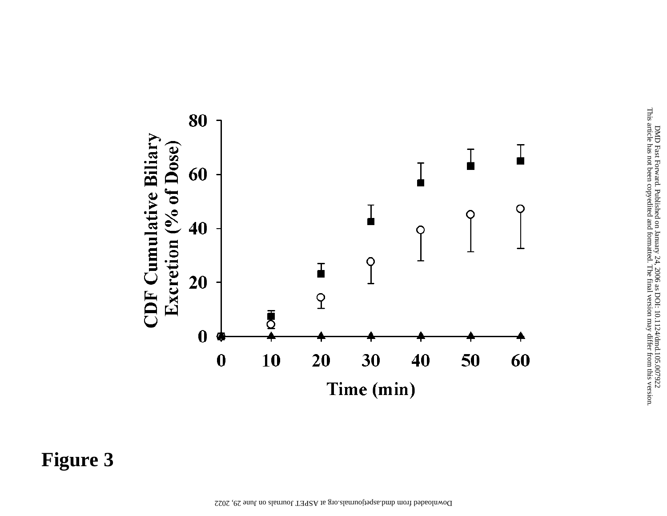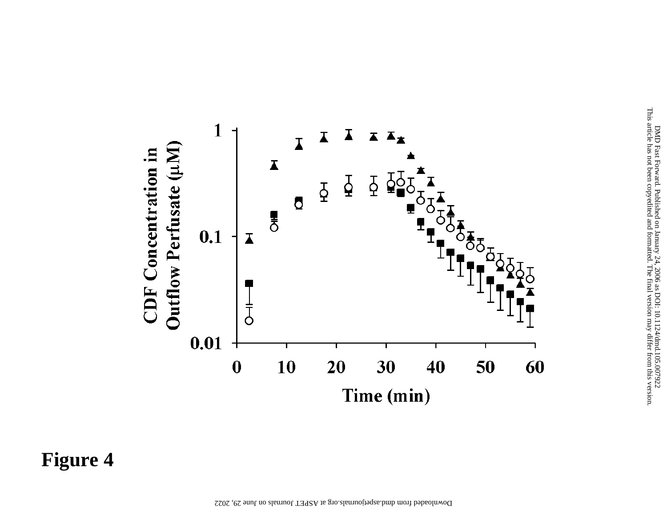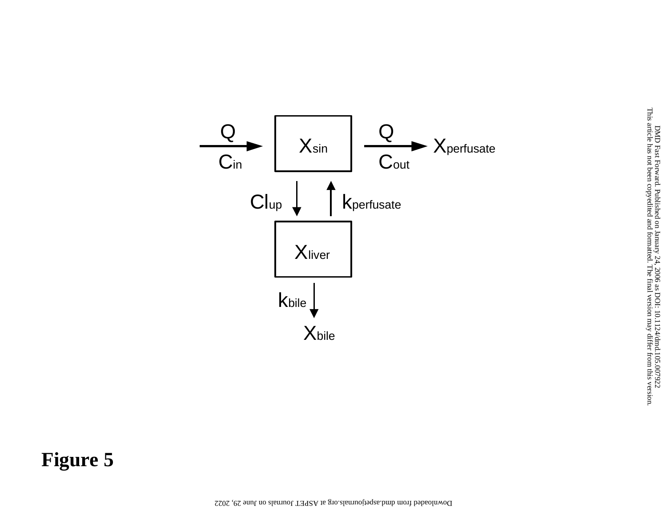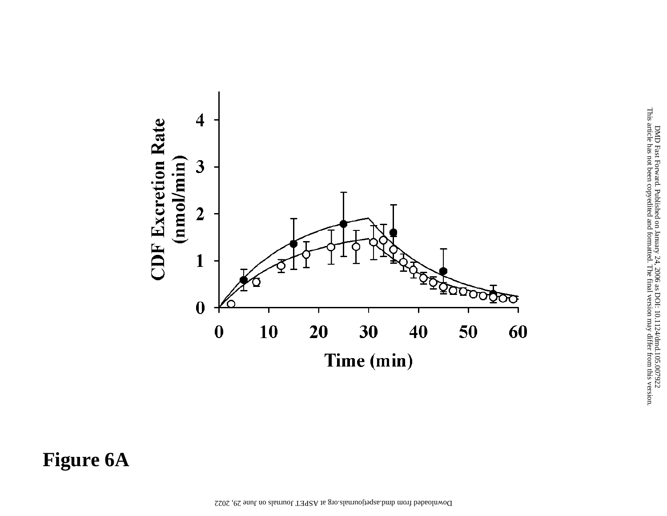

**Figure 6A**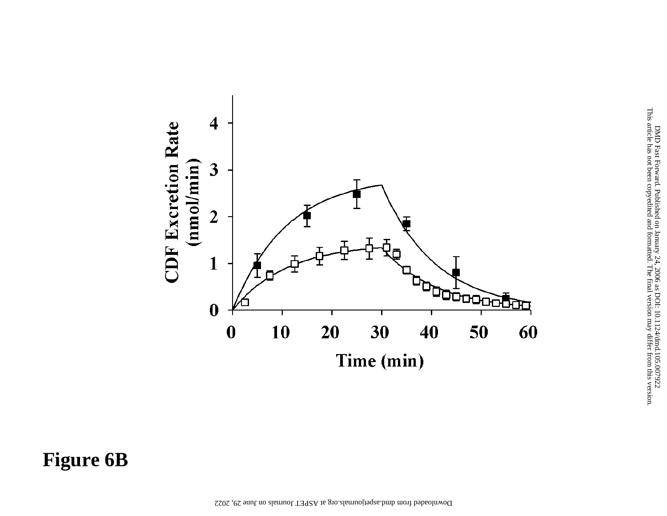